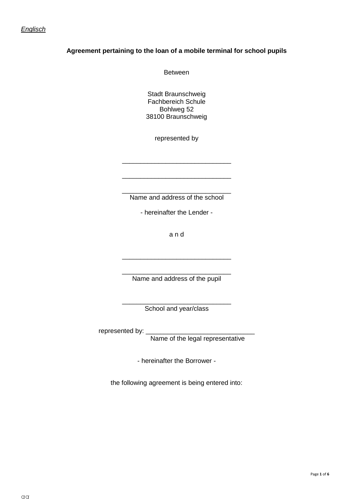### *Englisch*

## **Agreement pertaining to the loan of a mobile terminal for school pupils**

Between

Stadt Braunschweig Fachbereich Schule Bohlweg 52 38100 Braunschweig

represented by

\_\_\_\_\_\_\_\_\_\_\_\_\_\_\_\_\_\_\_\_\_\_\_\_\_\_\_\_\_\_

\_\_\_\_\_\_\_\_\_\_\_\_\_\_\_\_\_\_\_\_\_\_\_\_\_\_\_\_\_\_

\_\_\_\_\_\_\_\_\_\_\_\_\_\_\_\_\_\_\_\_\_\_\_\_\_\_\_\_\_\_ Name and address of the school

- hereinafter the Lender -

a n d

\_\_\_\_\_\_\_\_\_\_\_\_\_\_\_\_\_\_\_\_\_\_\_\_\_\_\_\_\_\_

\_\_\_\_\_\_\_\_\_\_\_\_\_\_\_\_\_\_\_\_\_\_\_\_\_\_\_\_\_\_ Name and address of the pupil

\_\_\_\_\_\_\_\_\_\_\_\_\_\_\_\_\_\_\_\_\_\_\_\_\_\_\_\_\_\_ School and year/class

represented by:

Name of the legal representative

- hereinafter the Borrower -

the following agreement is being entered into: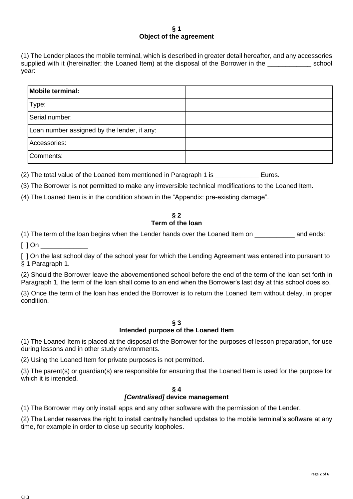#### **§ 1 Object of the agreement**

(1) The Lender places the mobile terminal, which is described in greater detail hereafter, and any accessories supplied with it (hereinafter: the Loaned Item) at the disposal of the Borrower in the subsequently school year:

| Mobile terminal:                            |  |
|---------------------------------------------|--|
| Type:                                       |  |
| Serial number:                              |  |
| Loan number assigned by the lender, if any: |  |
| Accessories:                                |  |
| Comments:                                   |  |

(2) The total value of the Loaned Item mentioned in Paragraph 1 is \_\_\_\_\_\_\_\_\_\_\_\_\_\_ Euros.

(3) The Borrower is not permitted to make any irreversible technical modifications to the Loaned Item.

(4) The Loaned Item is in the condition shown in the "Appendix: pre-existing damage".

# **§ 2 Term of the loan**

(1) The term of the loan begins when the Lender hands over the Loaned Item on \_\_\_\_\_\_\_\_\_\_\_ and ends:

 $[$   $]$  On  $]$ 

[ ] On the last school day of the school year for which the Lending Agreement was entered into pursuant to § 1 Paragraph 1.

(2) Should the Borrower leave the abovementioned school before the end of the term of the loan set forth in Paragraph 1, the term of the loan shall come to an end when the Borrower's last day at this school does so.

(3) Once the term of the loan has ended the Borrower is to return the Loaned Item without delay, in proper condition.

### **§ 3 Intended purpose of the Loaned Item**

(1) The Loaned Item is placed at the disposal of the Borrower for the purposes of lesson preparation, for use during lessons and in other study environments.

(2) Using the Loaned Item for private purposes is not permitted.

(3) The parent(s) or guardian(s) are responsible for ensuring that the Loaned Item is used for the purpose for which it is intended.

#### **§ 4** *[Centralised]* **device management**

(1) The Borrower may only install apps and any other software with the permission of the Lender.

(2) The Lender reserves the right to install centrally handled updates to the mobile terminal's software at any time, for example in order to close up security loopholes.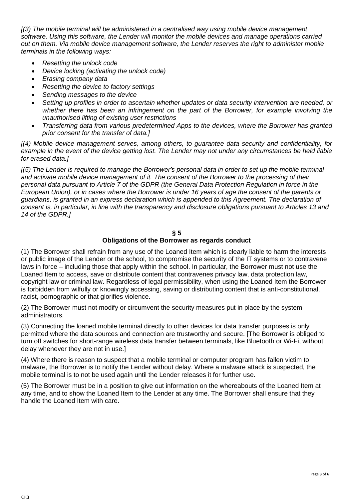*[(3) The mobile terminal will be administered in a centralised way using mobile device management software. Using this software, the Lender will monitor the mobile devices and manage operations carried out on them. Via mobile device management software, the Lender reserves the right to administer mobile terminals in the following ways:*

- *Resetting the unlock code*
- *Device locking (activating the unlock code)*
- *Erasing company data*
- *Resetting the device to factory settings*
- *Sending messages to the device*
- *Setting up profiles in order to ascertain whether updates or data security intervention are needed, or whether there has been an infringement on the part of the Borrower, for example involving the unauthorised lifting of existing user restrictions*
- *Transferring data from various predetermined Apps to the devices, where the Borrower has granted prior consent for the transfer of data.]*

*[(4) Mobile device management serves, among others, to guarantee data security and confidentiality, for example in the event of the device getting lost. The Lender may not under any circumstances be held liable for erased data.]*

*[(5) The Lender is required to manage the Borrower's personal data in order to set up the mobile terminal and activate mobile device management of it. The consent of the Borrower to the processing of their personal data pursuant to Article 7 of the GDPR (the General Data Protection Regulation in force in the European Union), or in cases where the Borrower is under 16 years of age the consent of the parents or guardians, is granted in an express declaration which is appended to this Agreement. The declaration of consent is, in particular, in line with the transparency and disclosure obligations pursuant to Articles 13 and 14 of the GDPR.]*

#### **§ 5**

### **Obligations of the Borrower as regards conduct**

(1) The Borrower shall refrain from any use of the Loaned Item which is clearly liable to harm the interests or public image of the Lender or the school, to compromise the security of the IT systems or to contravene laws in force – including those that apply within the school. In particular, the Borrower must not use the Loaned Item to access, save or distribute content that contravenes privacy law, data protection law, copyright law or criminal law. Regardless of legal permissibility, when using the Loaned Item the Borrower is forbidden from wilfully or knowingly accessing, saving or distributing content that is anti-constitutional, racist, pornographic or that glorifies violence.

(2) The Borrower must not modify or circumvent the security measures put in place by the system administrators.

(3) Connecting the loaned mobile terminal directly to other devices for data transfer purposes is only permitted where the data sources and connection are trustworthy and secure. [The Borrower is obliged to turn off switches for short-range wireless data transfer between terminals, like Bluetooth or Wi-Fi, without delay whenever they are not in use.]

(4) Where there is reason to suspect that a mobile terminal or computer program has fallen victim to malware, the Borrower is to notify the Lender without delay. Where a malware attack is suspected, the mobile terminal is to not be used again until the Lender releases it for further use.

(5) The Borrower must be in a position to give out information on the whereabouts of the Loaned Item at any time, and to show the Loaned Item to the Lender at any time. The Borrower shall ensure that they handle the Loaned Item with care.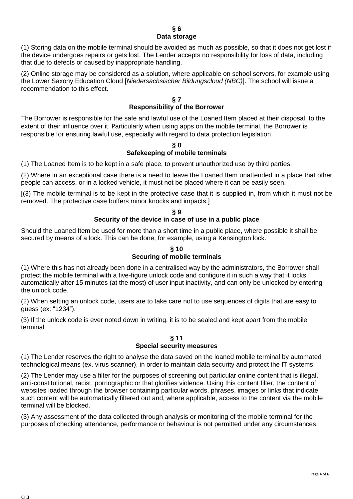#### **§ 6 Data storage**

(1) Storing data on the mobile terminal should be avoided as much as possible, so that it does not get lost if the device undergoes repairs or gets lost. The Lender accepts no responsibility for loss of data, including that due to defects or caused by inappropriate handling.

(2) Online storage may be considered as a solution, where applicable on school servers, for example using the Lower Saxony Education Cloud [*Niedersächsischer Bildungscloud (NBC)*]. The school will issue a recommendation to this effect.

#### **§ 7 Responsibility of the Borrower**

The Borrower is responsible for the safe and lawful use of the Loaned Item placed at their disposal, to the extent of their influence over it. Particularly when using apps on the mobile terminal, the Borrower is responsible for ensuring lawful use, especially with regard to data protection legislation.

### **§ 8 Safekeeping of mobile terminals**

(1) The Loaned Item is to be kept in a safe place, to prevent unauthorized use by third parties.

(2) Where in an exceptional case there is a need to leave the Loaned Item unattended in a place that other people can access, or in a locked vehicle, it must not be placed where it can be easily seen.

[(3) The mobile terminal is to be kept in the protective case that it is supplied in, from which it must not be removed. The protective case buffers minor knocks and impacts.]

## **§ 9 Security of the device in case of use in a public place**

Should the Loaned Item be used for more than a short time in a public place, where possible it shall be secured by means of a lock. This can be done, for example, using a Kensington lock.

# **§ 10 Securing of mobile terminals**

(1) Where this has not already been done in a centralised way by the administrators, the Borrower shall protect the mobile terminal with a five-figure unlock code and configure it in such a way that it locks automatically after 15 minutes (at the most) of user input inactivity, and can only be unlocked by entering the unlock code.

(2) When setting an unlock code, users are to take care not to use sequences of digits that are easy to guess (ex: "1234").

(3) If the unlock code is ever noted down in writing, it is to be sealed and kept apart from the mobile terminal.

#### **§ 11 Special security measures**

(1) The Lender reserves the right to analyse the data saved on the loaned mobile terminal by automated technological means (ex. virus scanner), in order to maintain data security and protect the IT systems.

(2) The Lender may use a filter for the purposes of screening out particular online content that is illegal, anti-constitutional, racist, pornographic or that glorifies violence. Using this content filter, the content of websites loaded through the browser containing particular words, phrases, images or links that indicate such content will be automatically filtered out and, where applicable, access to the content via the mobile terminal will be blocked.

(3) Any assessment of the data collected through analysis or monitoring of the mobile terminal for the purposes of checking attendance, performance or behaviour is not permitted under any circumstances.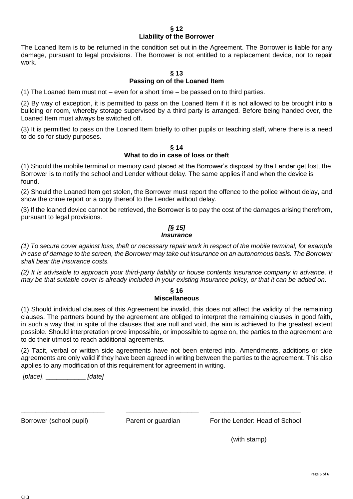#### **§ 12 Liability of the Borrower**

The Loaned Item is to be returned in the condition set out in the Agreement. The Borrower is liable for any damage, pursuant to legal provisions. The Borrower is not entitled to a replacement device, nor to repair work.

### **§ 13 Passing on of the Loaned Item**

(1) The Loaned Item must not – even for a short time – be passed on to third parties.

(2) By way of exception, it is permitted to pass on the Loaned Item if it is not allowed to be brought into a building or room, whereby storage supervised by a third party is arranged. Before being handed over, the Loaned Item must always be switched off.

(3) It is permitted to pass on the Loaned Item briefly to other pupils or teaching staff, where there is a need to do so for study purposes.

**§ 14 What to do in case of loss or theft**

(1) Should the mobile terminal or memory card placed at the Borrower's disposal by the Lender get lost, the Borrower is to notify the school and Lender without delay. The same applies if and when the device is found.

(2) Should the Loaned Item get stolen, the Borrower must report the offence to the police without delay, and show the crime report or a copy thereof to the Lender without delay.

(3) If the loaned device cannot be retrieved, the Borrower is to pay the cost of the damages arising therefrom, pursuant to legal provisions.

#### *[§ 15] Insurance*

*(1) To secure cover against loss, theft or necessary repair work in respect of the mobile terminal, for example in case of damage to the screen, the Borrower may take out insurance on an autonomous basis. The Borrower shall bear the insurance costs.*

*(2) It is advisable to approach your third-party liability or house contents insurance company in advance. It may be that suitable cover is already included in your existing insurance policy, or that it can be added on.*

#### **§ 16 Miscellaneous**

(1) Should individual clauses of this Agreement be invalid, this does not affect the validity of the remaining clauses. The partners bound by the agreement are obliged to interpret the remaining clauses in good faith, in such a way that in spite of the clauses that are null and void, the aim is achieved to the greatest extent possible. Should interpretation prove impossible, or impossible to agree on, the parties to the agreement are to do their utmost to reach additional agreements.

(2) Tacit, verbal or written side agreements have not been entered into. Amendments, additions or side agreements are only valid if they have been agreed in writing between the parties to the agreement. This also applies to any modification of this requirement for agreement in writing.

*[place]*, \_\_\_\_\_\_\_\_\_\_\_ *[date]*

\_\_\_\_\_\_\_\_\_\_\_\_\_\_\_\_\_\_\_\_\_\_\_ \_\_\_\_\_\_\_\_\_\_\_\_\_\_\_\_\_\_\_\_ \_\_\_\_\_\_\_\_\_\_\_\_\_\_\_\_\_\_\_\_\_\_\_\_\_

Borrower (school pupil) **Parent or guardian** For the Lender: Head of School

(with stamp)